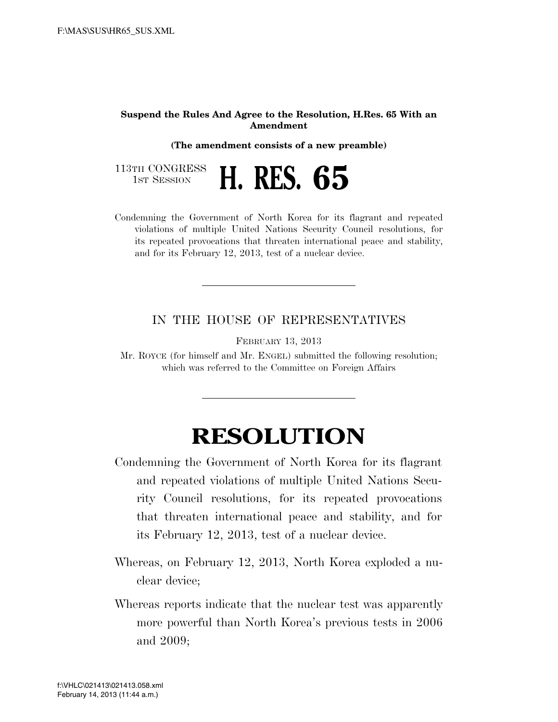## **Suspend the Rules And Agree to the Resolution, H.Res. 65 With an Amendment**

**(The amendment consists of a new preamble)** 



Condemning the Government of North Korea for its flagrant and repeated violations of multiple United Nations Security Council resolutions, for its repeated provocations that threaten international peace and stability, and for its February 12, 2013, test of a nuclear device.

## IN THE HOUSE OF REPRESENTATIVES

FEBRUARY 13, 2013

Mr. ROYCE (for himself and Mr. ENGEL) submitted the following resolution; which was referred to the Committee on Foreign Affairs

## **RESOLUTION**

- Condemning the Government of North Korea for its flagrant and repeated violations of multiple United Nations Security Council resolutions, for its repeated provocations that threaten international peace and stability, and for its February 12, 2013, test of a nuclear device.
- Whereas, on February 12, 2013, North Korea exploded a nuclear device;
- Whereas reports indicate that the nuclear test was apparently more powerful than North Korea's previous tests in 2006 and 2009;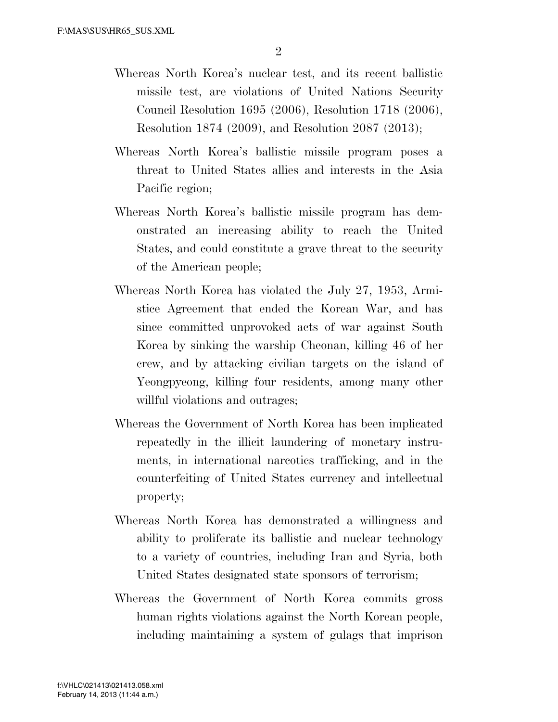- Whereas North Korea's nuclear test, and its recent ballistic missile test, are violations of United Nations Security Council Resolution 1695 (2006), Resolution 1718 (2006), Resolution 1874 (2009), and Resolution 2087 (2013);
- Whereas North Korea's ballistic missile program poses a threat to United States allies and interests in the Asia Pacific region;
- Whereas North Korea's ballistic missile program has demonstrated an increasing ability to reach the United States, and could constitute a grave threat to the security of the American people;
- Whereas North Korea has violated the July 27, 1953, Armistice Agreement that ended the Korean War, and has since committed unprovoked acts of war against South Korea by sinking the warship Cheonan, killing 46 of her crew, and by attacking civilian targets on the island of Yeongpyeong, killing four residents, among many other willful violations and outrages;
- Whereas the Government of North Korea has been implicated repeatedly in the illicit laundering of monetary instruments, in international narcotics trafficking, and in the counterfeiting of United States currency and intellectual property;
- Whereas North Korea has demonstrated a willingness and ability to proliferate its ballistic and nuclear technology to a variety of countries, including Iran and Syria, both United States designated state sponsors of terrorism;
- Whereas the Government of North Korea commits gross human rights violations against the North Korean people, including maintaining a system of gulags that imprison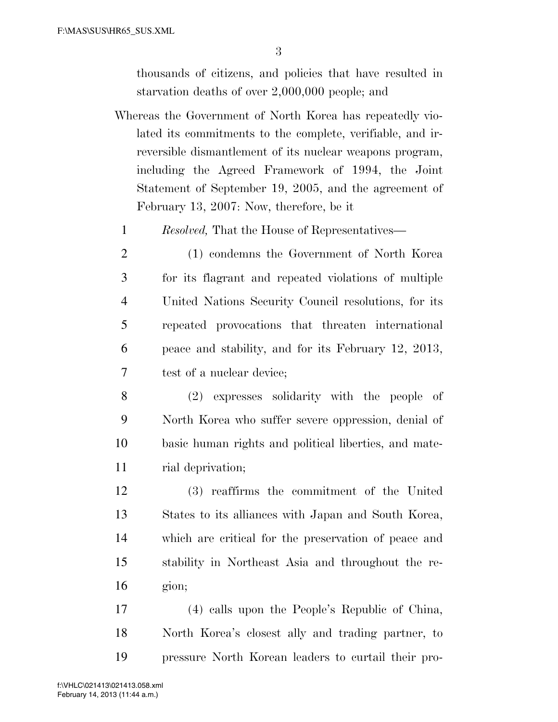thousands of citizens, and policies that have resulted in starvation deaths of over 2,000,000 people; and

- Whereas the Government of North Korea has repeatedly violated its commitments to the complete, verifiable, and irreversible dismantlement of its nuclear weapons program, including the Agreed Framework of 1994, the Joint Statement of September 19, 2005, and the agreement of February 13, 2007: Now, therefore, be it
	- *Resolved,* That the House of Representatives—
	- (1) condemns the Government of North Korea for its flagrant and repeated violations of multiple United Nations Security Council resolutions, for its repeated provocations that threaten international peace and stability, and for its February 12, 2013, test of a nuclear device;
- (2) expresses solidarity with the people of North Korea who suffer severe oppression, denial of basic human rights and political liberties, and mate-11 rial deprivation;
- (3) reaffirms the commitment of the United States to its alliances with Japan and South Korea, which are critical for the preservation of peace and stability in Northeast Asia and throughout the re-gion;
- (4) calls upon the People's Republic of China, North Korea's closest ally and trading partner, to pressure North Korean leaders to curtail their pro-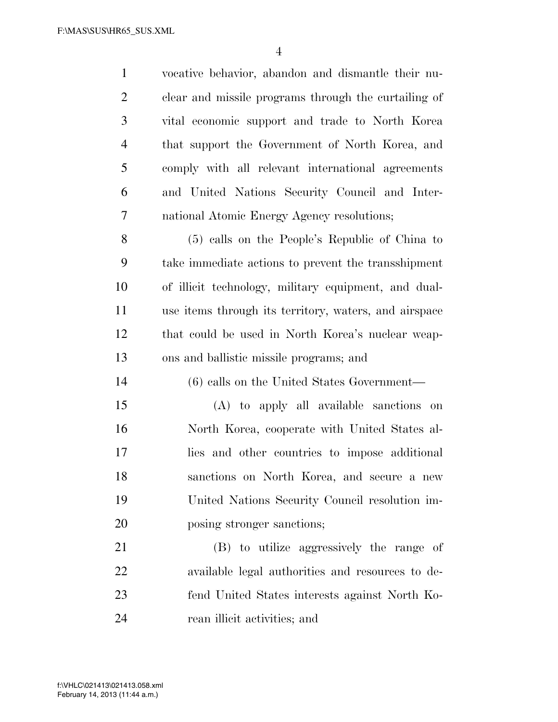vocative behavior, abandon and dismantle their nu- clear and missile programs through the curtailing of vital economic support and trade to North Korea that support the Government of North Korea, and comply with all relevant international agreements and United Nations Security Council and Inter- national Atomic Energy Agency resolutions; (5) calls on the People's Republic of China to take immediate actions to prevent the transshipment of illicit technology, military equipment, and dual- use items through its territory, waters, and airspace that could be used in North Korea's nuclear weap- ons and ballistic missile programs; and (6) calls on the United States Government— (A) to apply all available sanctions on North Korea, cooperate with United States al- lies and other countries to impose additional sanctions on North Korea, and secure a new United Nations Security Council resolution im-20 posing stronger sanctions; (B) to utilize aggressively the range of available legal authorities and resources to de-fend United States interests against North Ko-

rean illicit activities; and